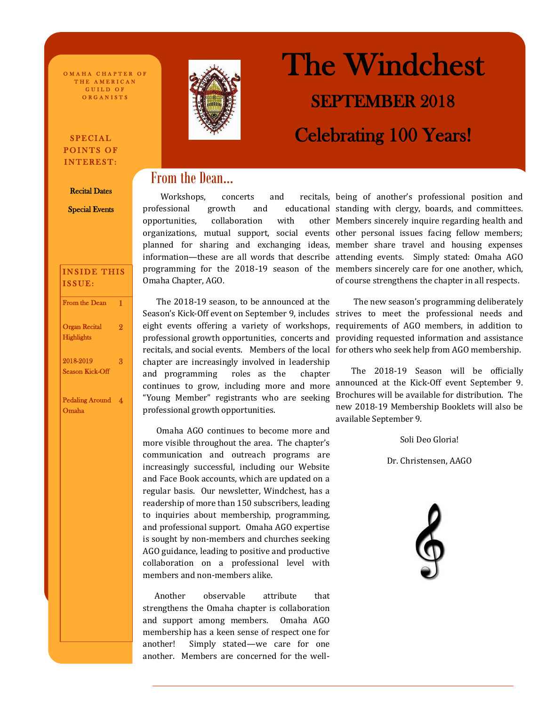O MAHA CHAPTER OF THE AMERICAN GUILD OF ORGANISTS

## SPECIAL POINTS OF INTEREST:

#### Recital Dates

Special Events

| <b>INSIDE THIS</b><br>ISSUE:              |    |
|-------------------------------------------|----|
| <b>From the Dean</b>                      | 1  |
| <b>Organ Recital</b><br><b>Highlights</b> | 9. |
| 2018-2019<br><b>Season Kick-Off</b>       | 3  |
| <b>Pedaling Around</b><br>Omaha           | 4  |

֦



# The Windchest SEPTEMBER 2018 Celebrating 100 Years!

# From the Dean...

Workshops, concerts and opportunities, collaboration with Omaha Chapter, AGO.

 The 2018-19 season, to be announced at the Season's Kick-Off event on September 9, includes strives to meet the professional needs and eight events offering a variety of workshops, requirements of AGO members, in addition to professional growth opportunities, concerts and recitals, and social events. Members of the local for others who seek help from AGO membership. chapter are increasingly involved in leadership and programming roles as the chapter continues to grow, including more and more "Young Member" registrants who are seeking professional growth opportunities.

 Omaha AGO continues to become more and more visible throughout the area. The chapter's communication and outreach programs are increasingly successful, including our Website and Face Book accounts, which are updated on a regular basis. Our newsletter, Windchest, has a readership of more than 150 subscribers, leading to inquiries about membership, programming, and professional support. Omaha AGO expertise is sought by non-members and churches seeking AGO guidance, leading to positive and productive collaboration on a professional level with members and non-members alike.

 Another observable attribute that strengthens the Omaha chapter is collaboration and support among members. Omaha AGO membership has a keen sense of respect one for another! Simply stated—we care for one another. Members are concerned for the well-

professional growth and educational standing with clergy, boards, and committees. organizations, mutual support, social events other personal issues facing fellow members; planned for sharing and exchanging ideas, member share travel and housing expenses information—these are all words that describe attending events. Simply stated: Omaha AGO programming for the 2018-19 season of the members sincerely care for one another, which, recitals, being of another's professional position and other Members sincerely inquire regarding health and of course strengthens the chapter in all respects.

> The new season's programming deliberately providing requested information and assistance

> The 2018-19 Season will be officially announced at the Kick-Off event September 9. Brochures will be available for distribution. The new 2018-19 Membership Booklets will also be available September 9.

> > Soli Deo Gloria!

Dr. Christensen, AAGO

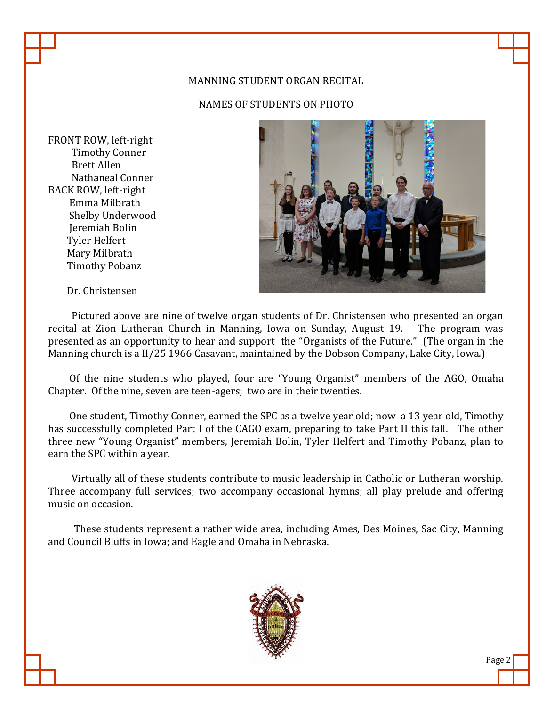# MANNING STUDENT ORGAN RECITAL

NAMES OF STUDENTS ON PHOTO

FRONT ROW, left-right Timothy Conner Brett Allen Nathaneal Conner BACK ROW, left-right Emma Milbrath Shelby Underwood Jeremiah Bolin Tyler Helfert Mary Milbrath Timothy Pobanz



Dr. Christensen

 Pictured above are nine of twelve organ students of Dr. Christensen who presented an organ recital at Zion Lutheran Church in Manning, Iowa on Sunday, August 19. The program was presented as an opportunity to hear and support the "Organists of the Future." (The organ in the Manning church is a II/25 1966 Casavant, maintained by the Dobson Company, Lake City, Iowa.)

 Of the nine students who played, four are "Young Organist" members of the AGO, Omaha Chapter. Of the nine, seven are teen-agers; two are in their twenties.

 One student, Timothy Conner, earned the SPC as a twelve year old; now a 13 year old, Timothy has successfully completed Part I of the CAGO exam, preparing to take Part II this fall. The other three new "Young Organist" members, Jeremiah Bolin, Tyler Helfert and Timothy Pobanz, plan to earn the SPC within a year.

 Virtually all of these students contribute to music leadership in Catholic or Lutheran worship. Three accompany full services; two accompany occasional hymns; all play prelude and offering music on occasion.

 These students represent a rather wide area, including Ames, Des Moines, Sac City, Manning and Council Bluffs in Iowa; and Eagle and Omaha in Nebraska.

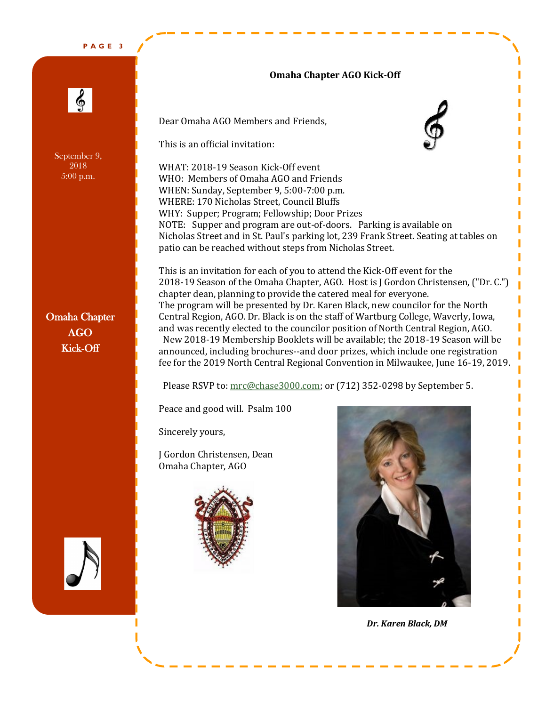**P A G E 3**

# **Omaha Chapter AGO Kick-Off**

န္တ

September 9, 2018 5:00 p.m.

Omaha Chapter AGO Kick-Off

Dear Omaha AGO Members and Friends,

This is an official invitation:

WHAT: 2018-19 Season Kick-Off event WHO: Members of Omaha AGO and Friends WHEN: Sunday, September 9, 5:00-7:00 p.m. WHERE: 170 Nicholas Street, Council Bluffs WHY: Supper; Program; Fellowship; Door Prizes NOTE: Supper and program are out-of-doors. Parking is available on Nicholas Street and in St. Paul's parking lot, 239 Frank Street. Seating at tables on patio can be reached without steps from Nicholas Street.

This is an invitation for each of you to attend the Kick-Off event for the 2018-19 Season of the Omaha Chapter, AGO. Host is J Gordon Christensen, ("Dr. C.") chapter dean, planning to provide the catered meal for everyone. The program will be presented by Dr. Karen Black, new councilor for the North Central Region, AGO. Dr. Black is on the staff of Wartburg College, Waverly, Iowa, and was recently elected to the councilor position of North Central Region, AGO. New 2018-19 Membership Booklets will be available; the 2018-19 Season will be announced, including brochures--and door prizes, which include one registration fee for the 2019 North Central Regional Convention in Milwaukee, June 16-19, 2019.

Please RSVP to: [mrc@chase3000.com;](mailto:mrc@chase3000.com) or (712) 352-0298 by September 5.

Peace and good will. Psalm 100

Sincerely yours,

J Gordon Christensen, Dean Omaha Chapter, AGO





I

*Dr. Karen Black, DM*